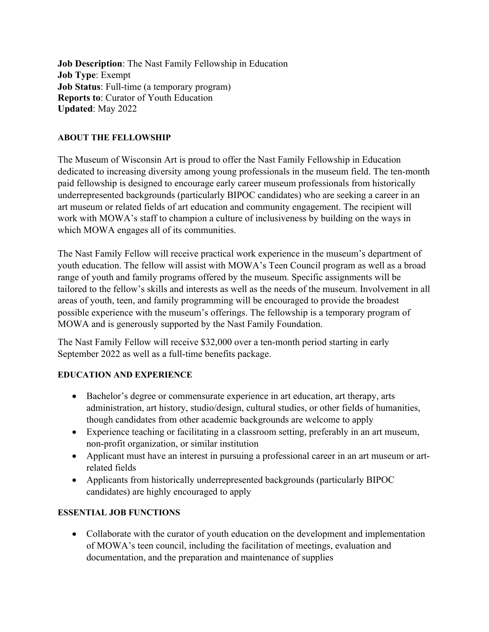**Job Description**: The Nast Family Fellowship in Education **Job Type**: Exempt **Job Status**: Full-time (a temporary program) **Reports to**: Curator of Youth Education **Updated**: May 2022

### **ABOUT THE FELLOWSHIP**

The Museum of Wisconsin Art is proud to offer the Nast Family Fellowship in Education dedicated to increasing diversity among young professionals in the museum field. The ten-month paid fellowship is designed to encourage early career museum professionals from historically underrepresented backgrounds (particularly BIPOC candidates) who are seeking a career in an art museum or related fields of art education and community engagement. The recipient will work with MOWA's staff to champion a culture of inclusiveness by building on the ways in which MOWA engages all of its communities.

The Nast Family Fellow will receive practical work experience in the museum's department of youth education. The fellow will assist with MOWA's Teen Council program as well as a broad range of youth and family programs offered by the museum. Specific assignments will be tailored to the fellow's skills and interests as well as the needs of the museum. Involvement in all areas of youth, teen, and family programming will be encouraged to provide the broadest possible experience with the museum's offerings. The fellowship is a temporary program of MOWA and is generously supported by the Nast Family Foundation.

The Nast Family Fellow will receive \$32,000 over a ten-month period starting in early September 2022 as well as a full-time benefits package.

## **EDUCATION AND EXPERIENCE**

- Bachelor's degree or commensurate experience in art education, art therapy, arts administration, art history, studio/design, cultural studies, or other fields of humanities, though candidates from other academic backgrounds are welcome to apply
- Experience teaching or facilitating in a classroom setting, preferably in an art museum, non-profit organization, or similar institution
- Applicant must have an interest in pursuing a professional career in an art museum or artrelated fields
- Applicants from historically underrepresented backgrounds (particularly BIPOC candidates) are highly encouraged to apply

#### **ESSENTIAL JOB FUNCTIONS**

• Collaborate with the curator of youth education on the development and implementation of MOWA's teen council, including the facilitation of meetings, evaluation and documentation, and the preparation and maintenance of supplies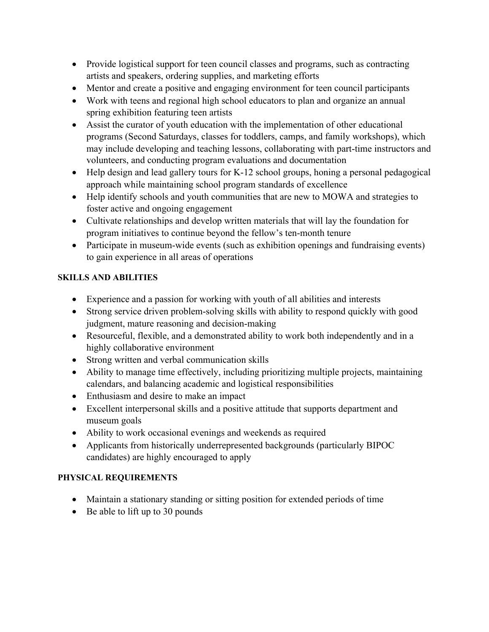- Provide logistical support for teen council classes and programs, such as contracting artists and speakers, ordering supplies, and marketing efforts
- Mentor and create a positive and engaging environment for teen council participants
- Work with teens and regional high school educators to plan and organize an annual spring exhibition featuring teen artists
- Assist the curator of youth education with the implementation of other educational programs (Second Saturdays, classes for toddlers, camps, and family workshops), which may include developing and teaching lessons, collaborating with part-time instructors and volunteers, and conducting program evaluations and documentation
- Help design and lead gallery tours for K-12 school groups, honing a personal pedagogical approach while maintaining school program standards of excellence
- Help identify schools and youth communities that are new to MOWA and strategies to foster active and ongoing engagement
- Cultivate relationships and develop written materials that will lay the foundation for program initiatives to continue beyond the fellow's ten-month tenure
- Participate in museum-wide events (such as exhibition openings and fundraising events) to gain experience in all areas of operations

## **SKILLS AND ABILITIES**

- Experience and a passion for working with youth of all abilities and interests
- Strong service driven problem-solving skills with ability to respond quickly with good judgment, mature reasoning and decision-making
- Resourceful, flexible, and a demonstrated ability to work both independently and in a highly collaborative environment
- Strong written and verbal communication skills
- Ability to manage time effectively, including prioritizing multiple projects, maintaining calendars, and balancing academic and logistical responsibilities
- Enthusiasm and desire to make an impact
- Excellent interpersonal skills and a positive attitude that supports department and museum goals
- Ability to work occasional evenings and weekends as required
- Applicants from historically underrepresented backgrounds (particularly BIPOC candidates) are highly encouraged to apply

# **PHYSICAL REQUIREMENTS**

- Maintain a stationary standing or sitting position for extended periods of time
- Be able to lift up to 30 pounds